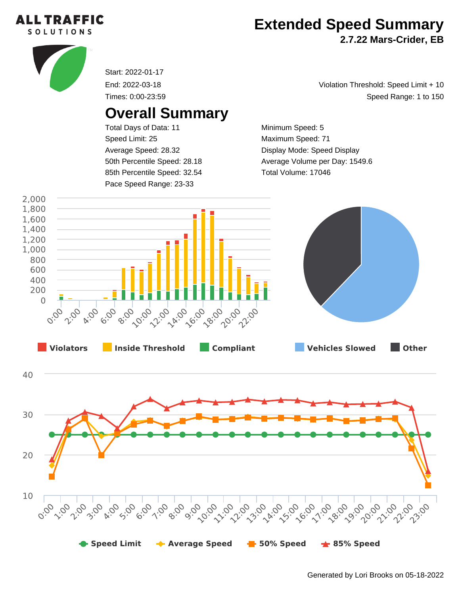

## **Extended Speed Summary**

**2.7.22 Mars-Crider, EB**



Start: 2022-01-17

End: 2022-03-18 Times: 0:00-23:59

## **Overall Summary**

Total Days of Data: 11 Speed Limit: 25 Average Speed: 28.32 50th Percentile Speed: 28.18 85th Percentile Speed: 32.54 Pace Speed Range: 23-33

Speed Range: 1 to 150 Violation Threshold: Speed Limit + 10

Minimum Speed: 5 Maximum Speed: 71 Display Mode: Speed Display Average Volume per Day: 1549.6 Total Volume: 17046